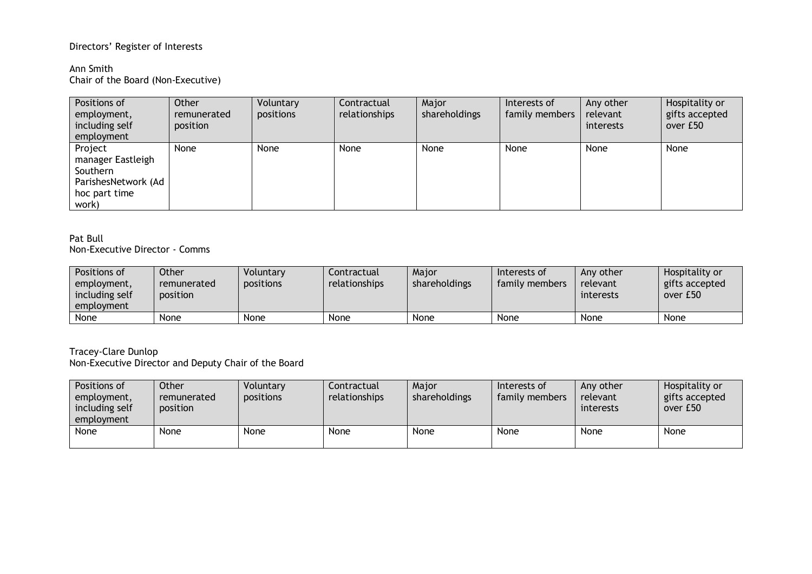# Directors' Register of Interests

### Ann Smith Chair of the Board (Non-Executive)

| Positions of        | Other       | Voluntary | Contractual   | Major         | Interests of   | Any other | Hospitality or |
|---------------------|-------------|-----------|---------------|---------------|----------------|-----------|----------------|
| employment,         | remunerated | positions | relationships | shareholdings | family members | relevant  | gifts accepted |
| including self      | position    |           |               |               |                | interests | over £50       |
| employment          |             |           |               |               |                |           |                |
| Project             | <b>None</b> | None      | None          | None          | None           | None      | None           |
| manager Eastleigh   |             |           |               |               |                |           |                |
| Southern            |             |           |               |               |                |           |                |
| ParishesNetwork (Ad |             |           |               |               |                |           |                |
| hoc part time       |             |           |               |               |                |           |                |
| work)               |             |           |               |               |                |           |                |

#### Pat Bull Non-Executive Director - Comms

| Positions of<br>employment,<br>including self<br>employment | Other<br>remunerated<br>position | Voluntary<br>positions | Contractual<br>relationships | Maior<br>shareholdings | Interests of<br>family members | Any other<br>relevant<br>interests | Hospitality or<br>gifts accepted<br>over £50 |
|-------------------------------------------------------------|----------------------------------|------------------------|------------------------------|------------------------|--------------------------------|------------------------------------|----------------------------------------------|
| None                                                        | <b>None</b>                      | None                   | None                         | <b>None</b>            | None                           | None                               | None                                         |

#### Tracey-Clare Dunlop Non-Executive Director and Deputy Chair of the Board

| Positions of<br>employment,<br>including self<br>employment | Other<br>remunerated<br>position | Voluntary<br><b>positions</b> | Contractual<br>relationships | Major<br>shareholdings | Interests of<br>family members | Any other<br>relevant<br>interests | Hospitality or<br>gifts accepted<br>over £50 |
|-------------------------------------------------------------|----------------------------------|-------------------------------|------------------------------|------------------------|--------------------------------|------------------------------------|----------------------------------------------|
| None                                                        | None                             | None                          | None                         | None                   | None                           | None                               | None                                         |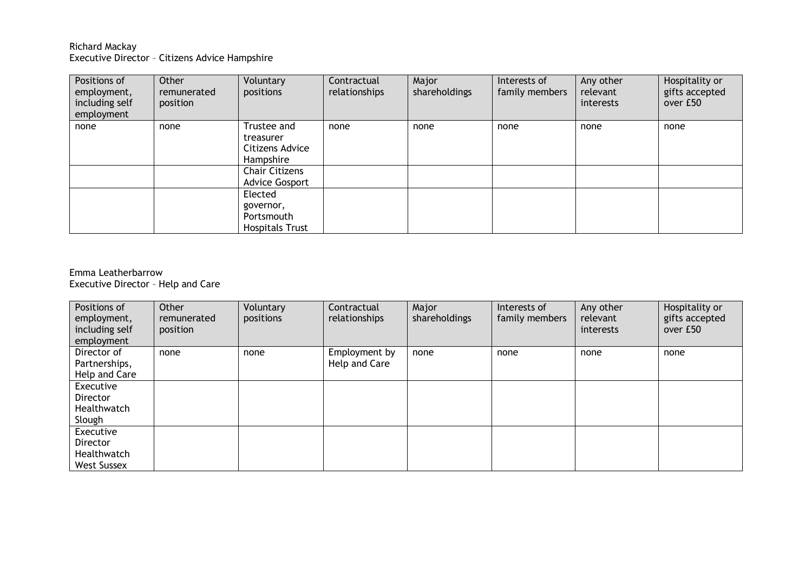## Richard Mackay Executive Director – Citizens Advice Hampshire

| Positions of<br>employment,<br>including self<br>employment | Other<br>remunerated<br>position | Voluntary<br>positions                                       | Contractual<br>relationships | Major<br>shareholdings | Interests of<br>family members | Any other<br>relevant<br>interests | Hospitality or<br>gifts accepted<br>over £50 |
|-------------------------------------------------------------|----------------------------------|--------------------------------------------------------------|------------------------------|------------------------|--------------------------------|------------------------------------|----------------------------------------------|
| none                                                        | none                             | Trustee and<br>treasurer<br>Citizens Advice<br>Hampshire     | none                         | none                   | none                           | none                               | none                                         |
|                                                             |                                  | <b>Chair Citizens</b><br><b>Advice Gosport</b>               |                              |                        |                                |                                    |                                              |
|                                                             |                                  | Elected<br>governor,<br>Portsmouth<br><b>Hospitals Trust</b> |                              |                        |                                |                                    |                                              |

## Emma Leatherbarrow Executive Director – Help and Care

| Positions of<br>employment,<br>including self<br>employment | Other<br>remunerated<br>position | Voluntary<br>positions | Contractual<br>relationships | Major<br>shareholdings | Interests of<br>family members | Any other<br>relevant<br>interests | Hospitality or<br>gifts accepted<br>over £50 |
|-------------------------------------------------------------|----------------------------------|------------------------|------------------------------|------------------------|--------------------------------|------------------------------------|----------------------------------------------|
| Director of                                                 | none                             | none                   | Employment by                | none                   | none                           | none                               | none                                         |
| Partnerships,                                               |                                  |                        | Help and Care                |                        |                                |                                    |                                              |
| Help and Care                                               |                                  |                        |                              |                        |                                |                                    |                                              |
| Executive                                                   |                                  |                        |                              |                        |                                |                                    |                                              |
| Director                                                    |                                  |                        |                              |                        |                                |                                    |                                              |
| Healthwatch                                                 |                                  |                        |                              |                        |                                |                                    |                                              |
| Slough                                                      |                                  |                        |                              |                        |                                |                                    |                                              |
| Executive                                                   |                                  |                        |                              |                        |                                |                                    |                                              |
| Director                                                    |                                  |                        |                              |                        |                                |                                    |                                              |
| Healthwatch                                                 |                                  |                        |                              |                        |                                |                                    |                                              |
| <b>West Sussex</b>                                          |                                  |                        |                              |                        |                                |                                    |                                              |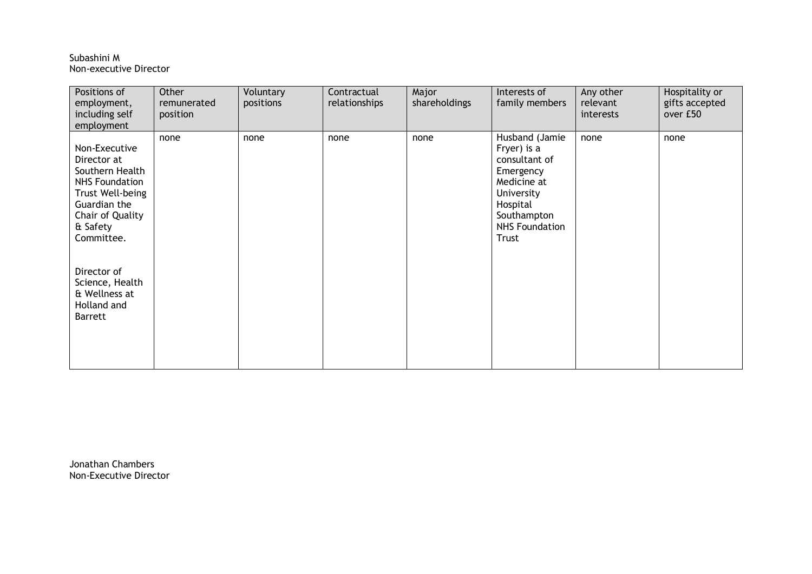#### Subashini M Non-executive Director

| Positions of<br>employment,<br>including self<br>employment                                                                                                | Other<br>remunerated<br>position | Voluntary<br>positions | Contractual<br>relationships | Major<br>shareholdings | Interests of<br>family members                                                                                                                               | Any other<br>relevant<br>interests | Hospitality or<br>gifts accepted<br>over £50 |
|------------------------------------------------------------------------------------------------------------------------------------------------------------|----------------------------------|------------------------|------------------------------|------------------------|--------------------------------------------------------------------------------------------------------------------------------------------------------------|------------------------------------|----------------------------------------------|
| Non-Executive<br>Director at<br>Southern Health<br><b>NHS Foundation</b><br>Trust Well-being<br>Guardian the<br>Chair of Quality<br>& Safety<br>Committee. | none                             | none                   | none                         | none                   | Husband (Jamie<br>Fryer) is a<br>consultant of<br>Emergency<br>Medicine at<br>University<br>Hospital<br>Southampton<br><b>NHS Foundation</b><br><b>Trust</b> | none                               | none                                         |
| Director of<br>Science, Health<br>& Wellness at<br>Holland and<br><b>Barrett</b>                                                                           |                                  |                        |                              |                        |                                                                                                                                                              |                                    |                                              |

Jonathan Chambers Non-Executive Director